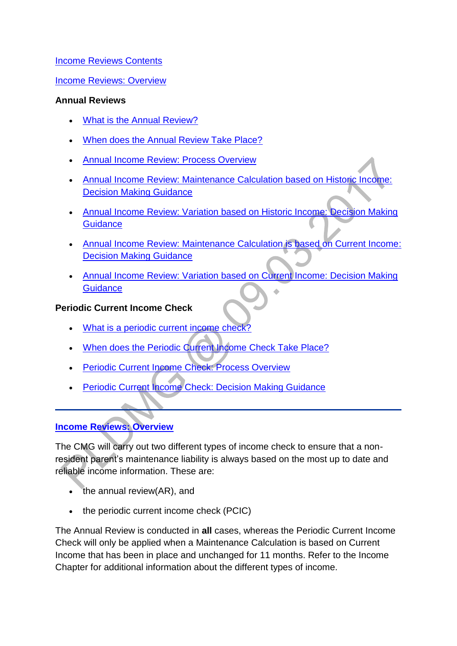[Income Reviews Contents](http://np-cmg-sharepoint.link2.gpn.gov.uk/sites/policy-law-and-decision-making-guidance/Pages/Calculations/Income/)

[Income Reviews: Overview](http://np-cmg-sharepoint.link2.gpn.gov.uk/sites/policy-law-and-decision-making-guidance/Pages/Calculations/Income/Income-Reviews.aspx#iroverview)

#### **Annual Reviews**

- [What is the Annual Review?](http://np-cmg-sharepoint.link2.gpn.gov.uk/sites/policy-law-and-decision-making-guidance/Pages/Calculations/Income/Income-Reviews.aspx#whatir)
- [When does the Annual Review Take Place?](http://np-cmg-sharepoint.link2.gpn.gov.uk/sites/policy-law-and-decision-making-guidance/Pages/Calculations/Income/Income-Reviews.aspx#When)
- [Annual Income Review: Process Overview](http://np-cmg-sharepoint.link2.gpn.gov.uk/sites/policy-law-and-decision-making-guidance/Pages/Calculations/Income/Income-Reviews.aspx#ARprocess)
- [Annual Income Review: Maintenance Calculation based on Historic Income:](http://np-cmg-sharepoint.link2.gpn.gov.uk/sites/policy-law-and-decision-making-guidance/Pages/Calculations/Income/Income-Reviews.aspx#ARDMG)  **[Decision Making Guidance](http://np-cmg-sharepoint.link2.gpn.gov.uk/sites/policy-law-and-decision-making-guidance/Pages/Calculations/Income/Income-Reviews.aspx#ARDMG)**
- [Annual Income Review: Variation based on Historic Income: Decision Making](http://np-cmg-sharepoint.link2.gpn.gov.uk/sites/policy-law-and-decision-making-guidance/Pages/Calculations/Income/Income-Reviews.aspx#Variation)  **Guidance**
- [Annual Income Review: Maintenance Calculation is based on Current Income:](http://np-cmg-sharepoint.link2.gpn.gov.uk/sites/policy-law-and-decision-making-guidance/Pages/Calculations/Income/Income-Reviews.aspx#MCIC)  [Decision Making Guidance](http://np-cmg-sharepoint.link2.gpn.gov.uk/sites/policy-law-and-decision-making-guidance/Pages/Calculations/Income/Income-Reviews.aspx#MCIC)
- [Annual Income Review: Variation based on Current Income: Decision Making](http://np-cmg-sharepoint.link2.gpn.gov.uk/sites/policy-law-and-decision-making-guidance/Pages/Calculations/Income/Income-Reviews.aspx#VariaitionDMG)  **[Guidance](http://np-cmg-sharepoint.link2.gpn.gov.uk/sites/policy-law-and-decision-making-guidance/Pages/Calculations/Income/Income-Reviews.aspx#VariaitionDMG)**

### **Periodic Current Income Check**

- [What is a periodic current income check?](http://np-cmg-sharepoint.link2.gpn.gov.uk/sites/policy-law-and-decision-making-guidance/Pages/Calculations/Income/Income-Reviews.aspx#periodic)
- [When does the Periodic Current Income Check Take Place?](http://np-cmg-sharepoint.link2.gpn.gov.uk/sites/policy-law-and-decision-making-guidance/Pages/Calculations/Income/Income-Reviews.aspx#PCI)
- [Periodic Current Income Check: Process Overview](http://np-cmg-sharepoint.link2.gpn.gov.uk/sites/policy-law-and-decision-making-guidance/Pages/Calculations/Income/Income-Reviews.aspx#PCprocess)
- **[Periodic Current Income Check: Decision Making Guidance](http://np-cmg-sharepoint.link2.gpn.gov.uk/sites/policy-law-and-decision-making-guidance/Pages/Calculations/Income/Income-Reviews.aspx#PCDMG)**

## **[Income Reviews: Overview](http://np-cmg-sharepoint.link2.gpn.gov.uk/sites/policy-law-and-decision-making-guidance/Pages/Calculations/Income/)**

The CMG will carry out two different types of income check to ensure that a nonresident parent's maintenance liability is always based on the most up to date and reliable income information. These are:

- the annual review(AR), and
- the periodic current income check (PCIC)

The Annual Review is conducted in **all** cases, whereas the Periodic Current Income Check will only be applied when a Maintenance Calculation is based on Current Income that has been in place and unchanged for 11 months. Refer to the Income Chapter for additional information about the different types of income.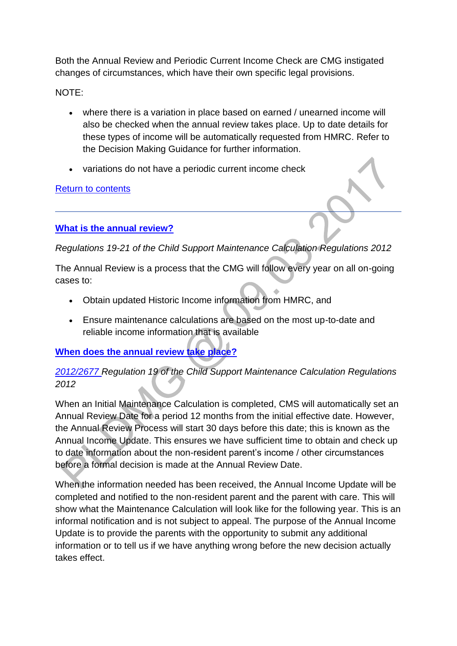Both the Annual Review and Periodic Current Income Check are CMG instigated changes of circumstances, which have their own specific legal provisions.

NOTE:

- where there is a variation in place based on earned / unearned income will also be checked when the annual review takes place. Up to date details for these types of income will be automatically requested from HMRC. Refer to the Decision Making Guidance for further information.
- variations do not have a periodic current income check

### [Return to contents](http://np-cmg-sharepoint.link2.gpn.gov.uk/sites/policy-law-and-decision-making-guidance/Pages/Calculations/Income/Income-Reviews.aspx#contents)

# **[What is the annual review?](http://np-cmg-sharepoint.link2.gpn.gov.uk/sites/policy-law-and-decision-making-guidance/Pages/Calculations/Income/)**

*Regulations 19-21 of the Child Support Maintenance Calculation Regulations 2012* 

The Annual Review is a process that the CMG will follow every year on all on-going cases to:

- Obtain updated Historic Income information from HMRC, and
- Ensure maintenance calculations are based on the most up-to-date and reliable income information that is available

# **[When does the annual review take place?](http://np-cmg-sharepoint.link2.gpn.gov.uk/sites/policy-law-and-decision-making-guidance/Pages/Calculations/Income/)**

# *[2012/2677 R](http://www.legislation.gov.uk/uksi/2012/2677)egulation 19 of the Child Support Maintenance Calculation Regulations 2012*

When an Initial Maintenance Calculation is completed, CMS will automatically set an Annual Review Date for a period 12 months from the initial effective date. However, the Annual Review Process will start 30 days before this date; this is known as the Annual Income Update. This ensures we have sufficient time to obtain and check up to date information about the non-resident parent's income / other circumstances before a formal decision is made at the Annual Review Date.

When the information needed has been received, the Annual Income Update will be completed and notified to the non-resident parent and the parent with care. This will show what the Maintenance Calculation will look like for the following year. This is an informal notification and is not subject to appeal. The purpose of the Annual Income Update is to provide the parents with the opportunity to submit any additional information or to tell us if we have anything wrong before the new decision actually takes effect.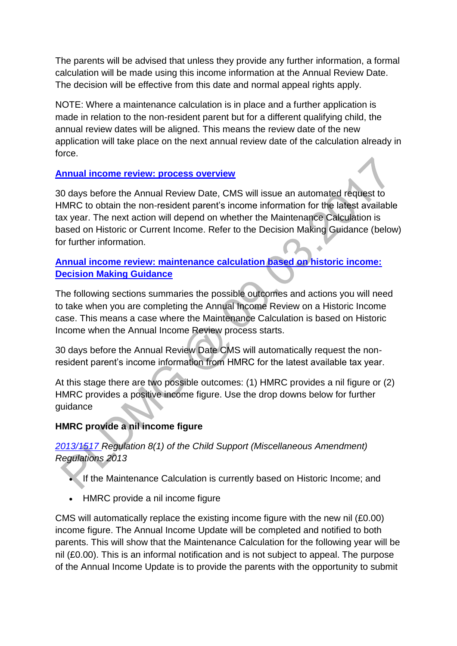The parents will be advised that unless they provide any further information, a formal calculation will be made using this income information at the Annual Review Date. The decision will be effective from this date and normal appeal rights apply.

NOTE: Where a maintenance calculation is in place and a further application is made in relation to the non-resident parent but for a different qualifying child, the annual review dates will be aligned. This means the review date of the new application will take place on the next annual review date of the calculation already in force.

## **[Annual income review: process overview](http://np-cmg-sharepoint.link2.gpn.gov.uk/sites/policy-law-and-decision-making-guidance/Pages/Calculations/Income/)**

30 days before the Annual Review Date, CMS will issue an automated request to HMRC to obtain the non-resident parent's income information for the latest available tax year. The next action will depend on whether the Maintenance Calculation is based on Historic or Current Income. Refer to the Decision Making Guidance (below) for further information. ä

## **[Annual income review: maintenance calculation based on historic income:](http://np-cmg-sharepoint.link2.gpn.gov.uk/sites/policy-law-and-decision-making-guidance/Pages/Calculations/Income/)  [Decision Making Guidance](http://np-cmg-sharepoint.link2.gpn.gov.uk/sites/policy-law-and-decision-making-guidance/Pages/Calculations/Income/)**

The following sections summaries the possible outcomes and actions you will need to take when you are completing the Annual Income Review on a Historic Income case. This means a case where the Maintenance Calculation is based on Historic Income when the Annual Income Review process starts.

30 days before the Annual Review Date CMS will automatically request the nonresident parent's income information from HMRC for the latest available tax year.

At this stage there are two possible outcomes: (1) HMRC provides a nil figure or (2) HMRC provides a positive income figure. Use the drop downs below for further guidance

# **HMRC provide a nil income figure**

## *[2013/1517 R](http://www.legislation.gov.uk/uksi/2013/1517/contents/made)egulation 8(1) of the Child Support (Miscellaneous Amendment) Regulations 2013*

- If the Maintenance Calculation is currently based on Historic Income; and
- HMRC provide a nil income figure

CMS will automatically replace the existing income figure with the new nil (£0.00) income figure. The Annual Income Update will be completed and notified to both parents. This will show that the Maintenance Calculation for the following year will be nil (£0.00). This is an informal notification and is not subject to appeal. The purpose of the Annual Income Update is to provide the parents with the opportunity to submit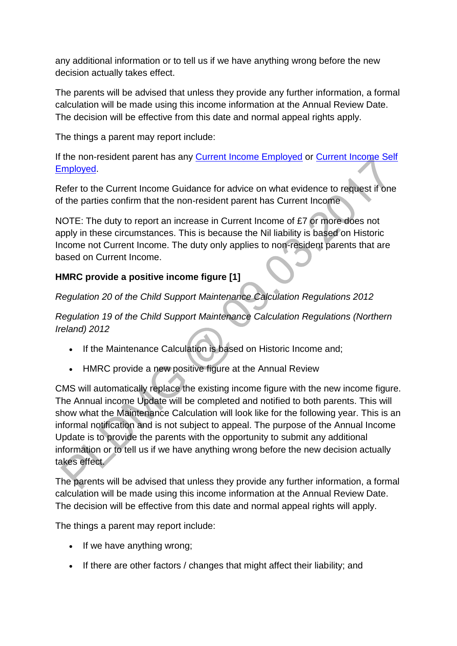any additional information or to tell us if we have anything wrong before the new decision actually takes effect.

The parents will be advised that unless they provide any further information, a formal calculation will be made using this income information at the Annual Review Date. The decision will be effective from this date and normal appeal rights apply.

The things a parent may report include:

If the non-resident parent has any **Current Income Employed or Current Income Self** [Employed.](http://np-cmg-sharepoint.link2.gpn.gov.uk/sites/policy-law-and-decision-making-guidance/Pages/Calculations/General/Current-income-self-employed.aspx)

Refer to the Current Income Guidance for advice on what evidence to request if one of the parties confirm that the non-resident parent has Current Income

NOTE: The duty to report an increase in Current Income of £7 or more does not apply in these circumstances. This is because the Nil liability is based on Historic Income not Current Income. The duty only applies to non-resident parents that are based on Current Income.

## **HMRC provide a positive income figure [1]**

*Regulation 20 of the Child Support Maintenance Calculation Regulations 2012*

*Regulation 19 of the Child Support Maintenance Calculation Regulations (Northern Ireland) 2012*

- If the Maintenance Calculation is based on Historic Income and;
- HMRC provide a new positive figure at the Annual Review

CMS will automatically replace the existing income figure with the new income figure. The Annual income Update will be completed and notified to both parents. This will show what the Maintenance Calculation will look like for the following year. This is an informal notification and is not subject to appeal. The purpose of the Annual Income Update is to provide the parents with the opportunity to submit any additional information or to tell us if we have anything wrong before the new decision actually takes effect.

The parents will be advised that unless they provide any further information, a formal calculation will be made using this income information at the Annual Review Date. The decision will be effective from this date and normal appeal rights will apply.

The things a parent may report include:

- If we have anything wrong;
- If there are other factors / changes that might affect their liability; and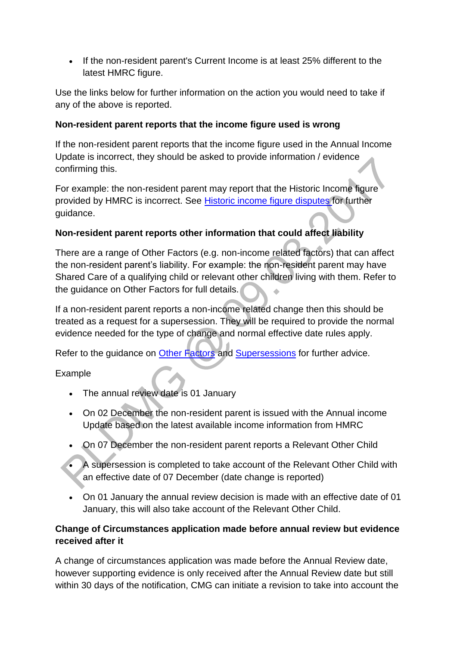If the non-resident parent's Current Income is at least 25% different to the latest HMRC figure.

Use the links below for further information on the action you would need to take if any of the above is reported.

## **Non-resident parent reports that the income figure used is wrong**

If the non-resident parent reports that the income figure used in the Annual Income Update is incorrect, they should be asked to provide information / evidence confirming this.

For example: the non-resident parent may report that the Historic Income figure provided by HMRC is incorrect. See [Historic income figure](http://np-cmg-sharepoint.link2.gpn.gov.uk/sites/policy-law-and-decision-making-guidance/Pages/Calculations/General/Current-income-self-employed.aspx) disputes for further guidance.

## **Non-resident parent reports other information that could affect liability**

There are a range of Other Factors (e.g. non-income related factors) that can affect the non-resident parent's liability. For example: the non-resident parent may have Shared Care of a qualifying child or relevant other children living with them. Refer to the guidance on Other Factors for full details.

If a non-resident parent reports a non-income related change then this should be treated as a request for a supersession. They will be required to provide the normal evidence needed for the type of change and normal effective date rules apply.

Refer to the guidance on [Other Factors](http://np-cmg-sharepoint.link2.gpn.gov.uk/sites/policy-law-and-decision-making-guidance/Pages/Calculations/Other-Factors-affecting-.aspx) and [Supersessions](http://np-cmg-sharepoint.link2.gpn.gov.uk/sites/policy-law-and-decision-making-guidance/Pages/Supersessions/Supersessions.aspx) for further advice.

### Example

- The annual review date is 01 January
- On 02 December the non-resident parent is issued with the Annual income Update based on the latest available income information from HMRC
- On 07 December the non-resident parent reports a Relevant Other Child
- A supersession is completed to take account of the Relevant Other Child with an effective date of 07 December (date change is reported)
- On 01 January the annual review decision is made with an effective date of 01 January, this will also take account of the Relevant Other Child.

## **Change of Circumstances application made before annual review but evidence received after it**

A change of circumstances application was made before the Annual Review date, however supporting evidence is only received after the Annual Review date but still within 30 days of the notification, CMG can initiate a revision to take into account the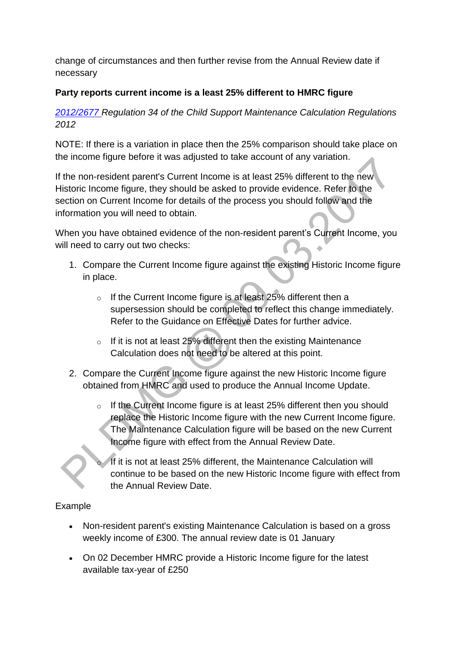change of circumstances and then further revise from the Annual Review date if necessary

## **Party reports current income is a least 25% different to HMRC figure**

*[2012/2677 R](http://www.legislation.gov.uk/uksi/2012/2677)egulation 34 of the Child Support Maintenance Calculation Regulations 2012*

NOTE: If there is a variation in place then the 25% comparison should take place on the income figure before it was adjusted to take account of any variation.

If the non-resident parent's Current Income is at least 25% different to the new Historic Income figure, they should be asked to provide evidence. Refer to the section on Current Income for details of the process you should follow and the information you will need to obtain.

When you have obtained evidence of the non-resident parent's Current Income, you will need to carry out two checks:

- 1. Compare the Current Income figure against the existing Historic Income figure in place.
	- o If the Current Income figure is at least 25% different then a supersession should be completed to reflect this change immediately. Refer to the Guidance on Effective Dates for further advice.
	- $\circ$  If it is not at least 25% different then the existing Maintenance Calculation does not need to be altered at this point.
- 2. Compare the Current Income figure against the new Historic Income figure obtained from HMRC and used to produce the Annual Income Update.
	- $\circ$  If the Current Income figure is at least 25% different then you should replace the Historic Income figure with the new Current Income figure. The Maintenance Calculation figure will be based on the new Current Income figure with effect from the Annual Review Date.

If it is not at least 25% different, the Maintenance Calculation will continue to be based on the new Historic Income figure with effect from the Annual Review Date.

### Example

- Non-resident parent's existing Maintenance Calculation is based on a gross weekly income of £300. The annual review date is 01 January
- On 02 December HMRC provide a Historic Income figure for the latest available tax-year of £250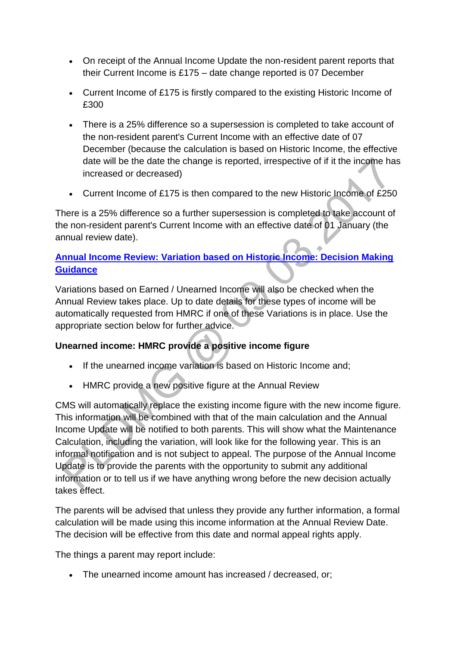- On receipt of the Annual Income Update the non-resident parent reports that their Current Income is £175 – date change reported is 07 December
- Current Income of £175 is firstly compared to the existing Historic Income of £300
- There is a 25% difference so a supersession is completed to take account of the non-resident parent's Current Income with an effective date of 07 December (because the calculation is based on Historic Income, the effective date will be the date the change is reported, irrespective of if it the income has increased or decreased)
- Current Income of £175 is then compared to the new Historic Income of £250

There is a 25% difference so a further supersession is completed to take account of the non-resident parent's Current Income with an effective date of 01 January (the annual review date).

# **[Annual Income Review: Variation based on Historic Income: Decision Making](http://np-cmg-sharepoint.link2.gpn.gov.uk/sites/policy-law-and-decision-making-guidance/Pages/Calculations/Income/)  [Guidance](http://np-cmg-sharepoint.link2.gpn.gov.uk/sites/policy-law-and-decision-making-guidance/Pages/Calculations/Income/)**

Variations based on Earned / Unearned Income will also be checked when the Annual Review takes place. Up to date details for these types of income will be automatically requested from HMRC if one of these Variations is in place. Use the appropriate section below for further advice.

## **Unearned income: HMRC provide a positive income figure**

- If the unearned income variation is based on Historic Income and:
- HMRC provide a new positive figure at the Annual Review

CMS will automatically replace the existing income figure with the new income figure. This information will be combined with that of the main calculation and the Annual Income Update will be notified to both parents. This will show what the Maintenance Calculation, including the variation, will look like for the following year. This is an informal notification and is not subject to appeal. The purpose of the Annual Income Update is to provide the parents with the opportunity to submit any additional information or to tell us if we have anything wrong before the new decision actually takes effect.

The parents will be advised that unless they provide any further information, a formal calculation will be made using this income information at the Annual Review Date. The decision will be effective from this date and normal appeal rights apply.

The things a parent may report include:

The unearned income amount has increased / decreased, or;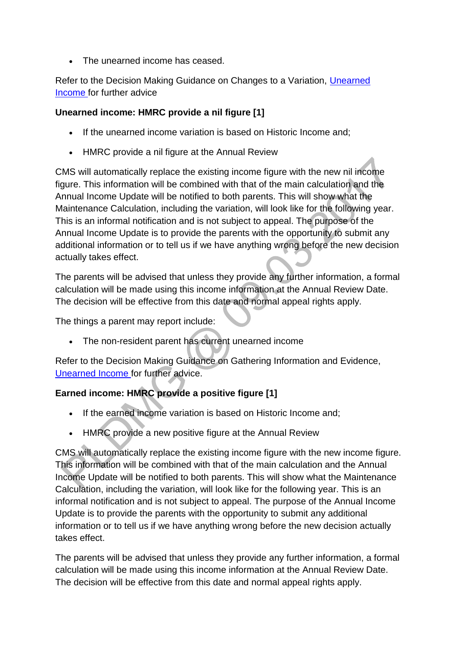• The unearned income has ceased.

Refer to the Decision Making Guidance on Changes to a Variation, [Unearned](http://np-cmg-sharepoint.link2.gpn.gov.uk/sites/policy-law-and-decision-making-guidance/Pages/Variations/Additional%20Income/Unearned-income.aspx)  [Income f](http://np-cmg-sharepoint.link2.gpn.gov.uk/sites/policy-law-and-decision-making-guidance/Pages/Variations/Additional%20Income/Unearned-income.aspx)or further advice

## **Unearned income: HMRC provide a nil figure [1]**

- If the unearned income variation is based on Historic Income and;
- HMRC provide a nil figure at the Annual Review

CMS will automatically replace the existing income figure with the new nil income figure. This information will be combined with that of the main calculation and the Annual Income Update will be notified to both parents. This will show what the Maintenance Calculation, including the variation, will look like for the following year. This is an informal notification and is not subject to appeal. The purpose of the Annual Income Update is to provide the parents with the opportunity to submit any additional information or to tell us if we have anything wrong before the new decision actually takes effect.

The parents will be advised that unless they provide any further information, a formal calculation will be made using this income information at the Annual Review Date. The decision will be effective from this date and normal appeal rights apply.

The things a parent may report include:

The non-resident parent has current unearned income

Refer to the Decision Making Guidance on Gathering Information and Evidence, [Unearned Income f](http://np-cmg-sharepoint.link2.gpn.gov.uk/sites/policy-law-and-decision-making-guidance/Pages/Variations/Additional%20Income/Unearned-income.aspx)or further advice.

## **Earned income: HMRC provide a positive figure [1]**

- If the earned income variation is based on Historic Income and;
- HMRC provide a new positive figure at the Annual Review

CMS will automatically replace the existing income figure with the new income figure. This information will be combined with that of the main calculation and the Annual Income Update will be notified to both parents. This will show what the Maintenance Calculation, including the variation, will look like for the following year. This is an informal notification and is not subject to appeal. The purpose of the Annual Income Update is to provide the parents with the opportunity to submit any additional information or to tell us if we have anything wrong before the new decision actually takes effect.

The parents will be advised that unless they provide any further information, a formal calculation will be made using this income information at the Annual Review Date. The decision will be effective from this date and normal appeal rights apply.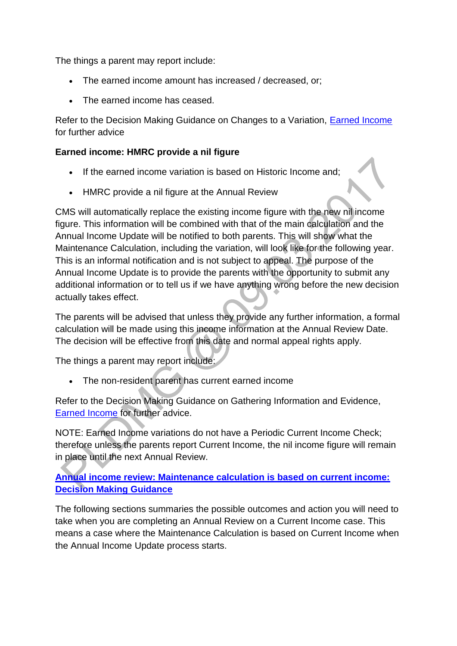The things a parent may report include:

- The earned income amount has increased / decreased, or;
- The earned income has ceased.

Refer to the Decision Making Guidance on Changes to a Variation, [Earned Income](http://np-cmg-sharepoint.link2.gpn.gov.uk/sites/policy-law-and-decision-making-guidance/Pages/Variations/Additional%20Income/Earned-Income.aspx)  for further advice

### **Earned income: HMRC provide a nil figure**

- If the earned income variation is based on Historic Income and;
- HMRC provide a nil figure at the Annual Review

CMS will automatically replace the existing income figure with the new nil income figure. This information will be combined with that of the main calculation and the Annual Income Update will be notified to both parents. This will show what the Maintenance Calculation, including the variation, will look like for the following year. This is an informal notification and is not subject to appeal. The purpose of the Annual Income Update is to provide the parents with the opportunity to submit any additional information or to tell us if we have anything wrong before the new decision actually takes effect.

The parents will be advised that unless they provide any further information, a formal calculation will be made using this income information at the Annual Review Date. The decision will be effective from this date and normal appeal rights apply.

The things a parent may report include:

The non-resident parent has current earned income

Refer to the Decision Making Guidance on Gathering Information and Evidence, [Earned Income](http://np-cmg-sharepoint.link2.gpn.gov.uk/sites/policy-law-and-decision-making-guidance/Pages/Variations/Additional%20Income/Earned-Income.aspx) for further advice.

NOTE: Earned Income variations do not have a Periodic Current Income Check; therefore unless the parents report Current Income, the nil income figure will remain in place until the next Annual Review.

## **[Annual income review: Maintenance calculation is based on current income:](http://np-cmg-sharepoint.link2.gpn.gov.uk/sites/policy-law-and-decision-making-guidance/Pages/Calculations/Income/)  [Decision Making Guidance](http://np-cmg-sharepoint.link2.gpn.gov.uk/sites/policy-law-and-decision-making-guidance/Pages/Calculations/Income/)**

The following sections summaries the possible outcomes and action you will need to take when you are completing an Annual Review on a Current Income case. This means a case where the Maintenance Calculation is based on Current Income when the Annual Income Update process starts.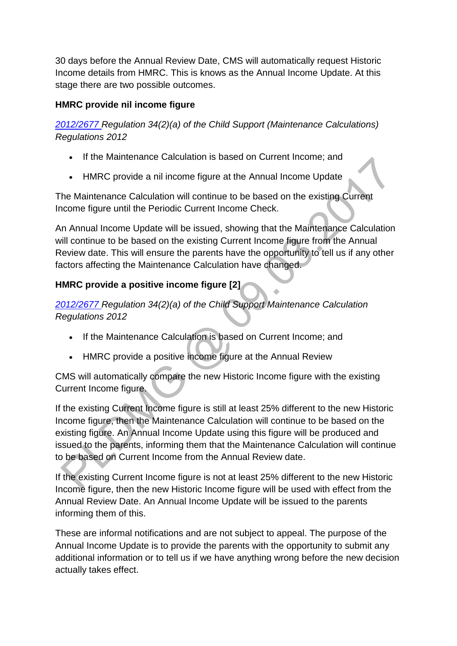30 days before the Annual Review Date, CMS will automatically request Historic Income details from HMRC. This is knows as the Annual Income Update. At this stage there are two possible outcomes.

## **HMRC provide nil income figure**

*[2012/2677 R](http://www.legislation.gov.uk/uksi/2012/2677)egulation 34(2)(a) of the Child Support (Maintenance Calculations) Regulations 2012* 

- If the Maintenance Calculation is based on Current Income; and
- HMRC provide a nil income figure at the Annual Income Update

The Maintenance Calculation will continue to be based on the existing Current Income figure until the Periodic Current Income Check.

An Annual Income Update will be issued, showing that the Maintenance Calculation will continue to be based on the existing Current Income figure from the Annual Review date. This will ensure the parents have the opportunity to tell us if any other factors affecting the Maintenance Calculation have changed.

# **HMRC provide a positive income figure [2]**

*[2012/2677 R](http://www.legislation.gov.uk/uksi/2012/2677)egulation 34(2)(a) of the Child Support Maintenance Calculation Regulations 2012* 

- If the Maintenance Calculation is based on Current Income; and
- HMRC provide a positive income figure at the Annual Review

CMS will automatically compare the new Historic Income figure with the existing Current Income figure.

If the existing Current Income figure is still at least 25% different to the new Historic Income figure, then the Maintenance Calculation will continue to be based on the existing figure. An Annual Income Update using this figure will be produced and issued to the parents, informing them that the Maintenance Calculation will continue to be based on Current Income from the Annual Review date.

If the existing Current Income figure is not at least 25% different to the new Historic Income figure, then the new Historic Income figure will be used with effect from the Annual Review Date. An Annual Income Update will be issued to the parents informing them of this.

These are informal notifications and are not subject to appeal. The purpose of the Annual Income Update is to provide the parents with the opportunity to submit any additional information or to tell us if we have anything wrong before the new decision actually takes effect.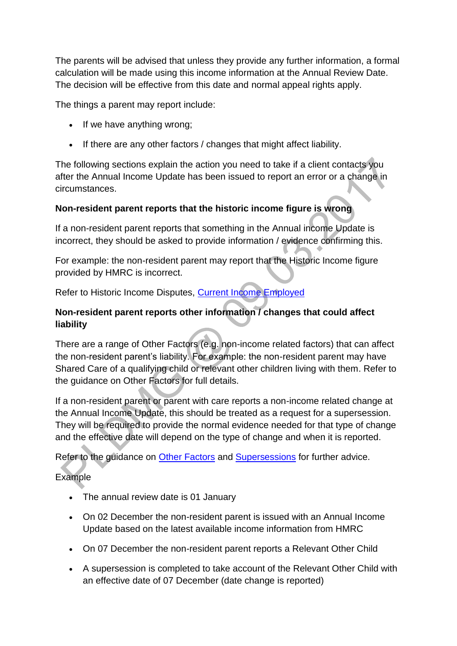The parents will be advised that unless they provide any further information, a formal calculation will be made using this income information at the Annual Review Date. The decision will be effective from this date and normal appeal rights apply.

The things a parent may report include:

- If we have anything wrong:
- If there are any other factors / changes that might affect liability.

The following sections explain the action you need to take if a client contacts you after the Annual Income Update has been issued to report an error or a change in circumstances.

## **Non-resident parent reports that the historic income figure is wrong**

If a non-resident parent reports that something in the Annual income Update is incorrect, they should be asked to provide information / evidence confirming this.

For example: the non-resident parent may report that the Historic Income figure provided by HMRC is incorrect.

Refer to Historic Income Disputes, [Current Income Employed](http://np-cmg-sharepoint.link2.gpn.gov.uk/sites/policy-law-and-decision-making-guidance/Pages/Calculations/General/Current-income-employed.aspx)

## **Non-resident parent reports other information / changes that could affect liability**

There are a range of Other Factors (e.g. non-income related factors) that can affect the non-resident parent's liability. For example: the non-resident parent may have Shared Care of a qualifying child or relevant other children living with them. Refer to the guidance on Other Factors for full details.

If a non-resident parent or parent with care reports a non-income related change at the Annual Income Update, this should be treated as a request for a supersession. They will be required to provide the normal evidence needed for that type of change and the effective date will depend on the type of change and when it is reported.

Refer to the guidance on [Other Factors](http://np-cmg-sharepoint.link2.gpn.gov.uk/sites/policy-law-and-decision-making-guidance/Pages/Calculations/Other-Factors-affecting-.aspx) and [Supersessions](http://np-cmg-sharepoint.link2.gpn.gov.uk/sites/policy-law-and-decision-making-guidance/Pages/Supersessions/Supersessions.aspx) for further advice.

## Example

- The annual review date is 01 January
- On 02 December the non-resident parent is issued with an Annual Income Update based on the latest available income information from HMRC
- On 07 December the non-resident parent reports a Relevant Other Child
- A supersession is completed to take account of the Relevant Other Child with an effective date of 07 December (date change is reported)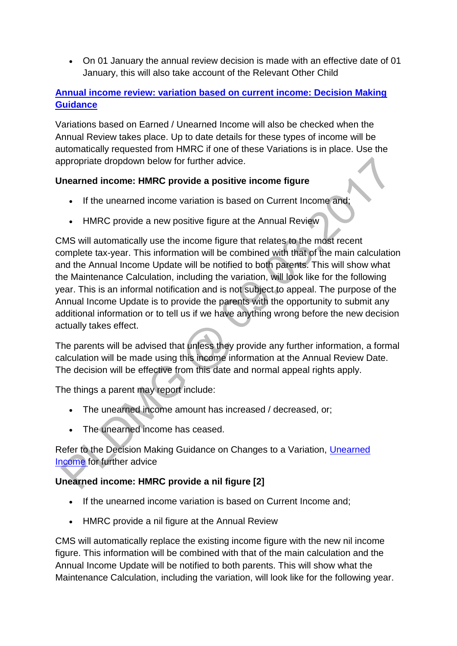On 01 January the annual review decision is made with an effective date of 01 January, this will also take account of the Relevant Other Child

## **[Annual income review: variation based on current income: Decision Making](http://np-cmg-sharepoint.link2.gpn.gov.uk/sites/policy-law-and-decision-making-guidance/Pages/Calculations/Income/)  [Guidance](http://np-cmg-sharepoint.link2.gpn.gov.uk/sites/policy-law-and-decision-making-guidance/Pages/Calculations/Income/)**

Variations based on Earned / Unearned Income will also be checked when the Annual Review takes place. Up to date details for these types of income will be automatically requested from HMRC if one of these Variations is in place. Use the appropriate dropdown below for further advice.

## **Unearned income: HMRC provide a positive income figure**

- If the unearned income variation is based on Current Income and;
- HMRC provide a new positive figure at the Annual Review

CMS will automatically use the income figure that relates to the most recent complete tax-year. This information will be combined with that of the main calculation and the Annual Income Update will be notified to both parents. This will show what the Maintenance Calculation, including the variation, will look like for the following year. This is an informal notification and is not subject to appeal. The purpose of the Annual Income Update is to provide the parents with the opportunity to submit any additional information or to tell us if we have anything wrong before the new decision actually takes effect.

The parents will be advised that unless they provide any further information, a formal calculation will be made using this income information at the Annual Review Date. The decision will be effective from this date and normal appeal rights apply.

The things a parent may report include:

- The unearned income amount has increased / decreased, or;
- The unearned income has ceased.

Refer to the Decision Making Guidance on Changes to a Variation, [Unearned](http://np-cmg-sharepoint.link2.gpn.gov.uk/sites/policy-law-and-decision-making-guidance/Pages/Variations/Additional%20Income/Unearned-income.aspx)  [Income f](http://np-cmg-sharepoint.link2.gpn.gov.uk/sites/policy-law-and-decision-making-guidance/Pages/Variations/Additional%20Income/Unearned-income.aspx)or further advice

### **Unearned income: HMRC provide a nil figure [2]**

- If the unearned income variation is based on Current Income and;
- HMRC provide a nil figure at the Annual Review

CMS will automatically replace the existing income figure with the new nil income figure. This information will be combined with that of the main calculation and the Annual Income Update will be notified to both parents. This will show what the Maintenance Calculation, including the variation, will look like for the following year.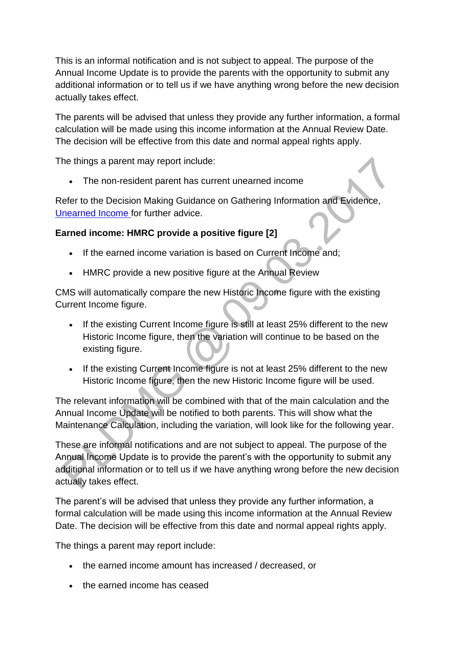This is an informal notification and is not subject to appeal. The purpose of the Annual Income Update is to provide the parents with the opportunity to submit any additional information or to tell us if we have anything wrong before the new decision actually takes effect.

The parents will be advised that unless they provide any further information, a formal calculation will be made using this income information at the Annual Review Date. The decision will be effective from this date and normal appeal rights apply.

The things a parent may report include:

The non-resident parent has current unearned income

Refer to the Decision Making Guidance on Gathering Information and Evidence, [Unearned Income f](http://np-cmg-sharepoint.link2.gpn.gov.uk/sites/policy-law-and-decision-making-guidance/Pages/Variations/Additional%20Income/Unearned-income.aspx)or further advice.

## **Earned income: HMRC provide a positive figure [2]**

- If the earned income variation is based on Current Income and;
- HMRC provide a new positive figure at the Annual Review

CMS will automatically compare the new Historic Income figure with the existing Current Income figure.

- If the existing Current Income figure is still at least 25% different to the new Historic Income figure, then the variation will continue to be based on the existing figure.
- If the existing Current Income figure is not at least 25% different to the new Historic Income figure, then the new Historic Income figure will be used.

The relevant information will be combined with that of the main calculation and the Annual Income Update will be notified to both parents. This will show what the Maintenance Calculation, including the variation, will look like for the following year.

These are informal notifications and are not subject to appeal. The purpose of the Annual Income Update is to provide the parent's with the opportunity to submit any additional information or to tell us if we have anything wrong before the new decision actually takes effect.

The parent's will be advised that unless they provide any further information, a formal calculation will be made using this income information at the Annual Review Date. The decision will be effective from this date and normal appeal rights apply.

The things a parent may report include:

- the earned income amount has increased / decreased, or
- the earned income has ceased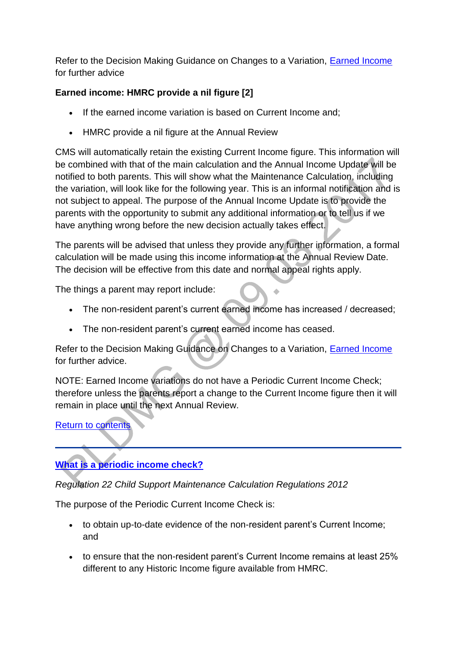Refer to the Decision Making Guidance on Changes to a Variation, [Earned Income](http://np-cmg-sharepoint.link2.gpn.gov.uk/sites/policy-law-and-decision-making-guidance/Pages/Variations/Additional%20Income/Earned-Income.aspx)  for further advice

# **Earned income: HMRC provide a nil figure [2]**

- If the earned income variation is based on Current Income and;
- HMRC provide a nil figure at the Annual Review

CMS will automatically retain the existing Current Income figure. This information will be combined with that of the main calculation and the Annual Income Update will be notified to both parents. This will show what the Maintenance Calculation, including the variation, will look like for the following year. This is an informal notification and is not subject to appeal. The purpose of the Annual Income Update is to provide the parents with the opportunity to submit any additional information or to tell us if we have anything wrong before the new decision actually takes effect.

The parents will be advised that unless they provide any further information, a formal calculation will be made using this income information at the Annual Review Date. The decision will be effective from this date and normal appeal rights apply.

The things a parent may report include:

- The non-resident parent's current earned income has increased / decreased;
- The non-resident parent's current earned income has ceased.

Refer to the Decision Making Guidance on Changes to a Variation, [Earned Income](http://np-cmg-sharepoint.link2.gpn.gov.uk/sites/policy-law-and-decision-making-guidance/Pages/Variations/Additional%20Income/Earned-Income.aspx)  for further advice.

NOTE: Earned Income variations do not have a Periodic Current Income Check; therefore unless the parents report a change to the Current Income figure then it will remain in place until the next Annual Review.

[Return to contents](http://np-cmg-sharepoint.link2.gpn.gov.uk/sites/policy-law-and-decision-making-guidance/Pages/Calculations/Income/Income-Reviews.aspx#contents)

# **[What is a periodic income check?](http://np-cmg-sharepoint.link2.gpn.gov.uk/sites/policy-law-and-decision-making-guidance/Pages/Calculations/Income/)**

*Regulation 22 Child Support Maintenance Calculation Regulations 2012*

The purpose of the Periodic Current Income Check is:

- to obtain up-to-date evidence of the non-resident parent's Current Income; and
- to ensure that the non-resident parent's Current Income remains at least 25% different to any Historic Income figure available from HMRC.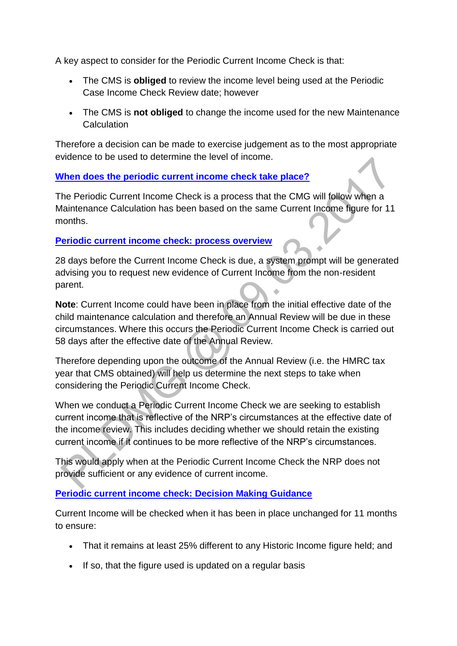A key aspect to consider for the Periodic Current Income Check is that:

- The CMS is **obliged** to review the income level being used at the Periodic Case Income Check Review date; however
- The CMS is **not obliged** to change the income used for the new Maintenance **Calculation**

Therefore a decision can be made to exercise judgement as to the most appropriate evidence to be used to determine the level of income.

## **[When does the periodic current income check take place?](http://np-cmg-sharepoint.link2.gpn.gov.uk/sites/policy-law-and-decision-making-guidance/Pages/Calculations/Income/)**

The Periodic Current Income Check is a process that the CMG will follow when a Maintenance Calculation has been based on the same Current Income figure for 11 months.

## **[Periodic current income check: process overview](http://np-cmg-sharepoint.link2.gpn.gov.uk/sites/policy-law-and-decision-making-guidance/Pages/Calculations/Income/)**

28 days before the Current Income Check is due, a system prompt will be generated advising you to request new evidence of Current Income from the non-resident parent.

**Note**: Current Income could have been in place from the initial effective date of the child maintenance calculation and therefore an Annual Review will be due in these circumstances. Where this occurs the Periodic Current Income Check is carried out 58 days after the effective date of the Annual Review.

Therefore depending upon the outcome of the Annual Review (i.e. the HMRC tax year that CMS obtained) will help us determine the next steps to take when considering the Periodic Current Income Check.

When we conduct a Periodic Current Income Check we are seeking to establish current income that is reflective of the NRP's circumstances at the effective date of the income review. This includes deciding whether we should retain the existing current income if it continues to be more reflective of the NRP's circumstances.

This would apply when at the Periodic Current Income Check the NRP does not provide sufficient or any evidence of current income.

## **[Periodic current income check: Decision Making Guidance](http://np-cmg-sharepoint.link2.gpn.gov.uk/sites/policy-law-and-decision-making-guidance/Pages/Calculations/Income/)**

Current Income will be checked when it has been in place unchanged for 11 months to ensure:

- That it remains at least 25% different to any Historic Income figure held; and
- If so, that the figure used is updated on a regular basis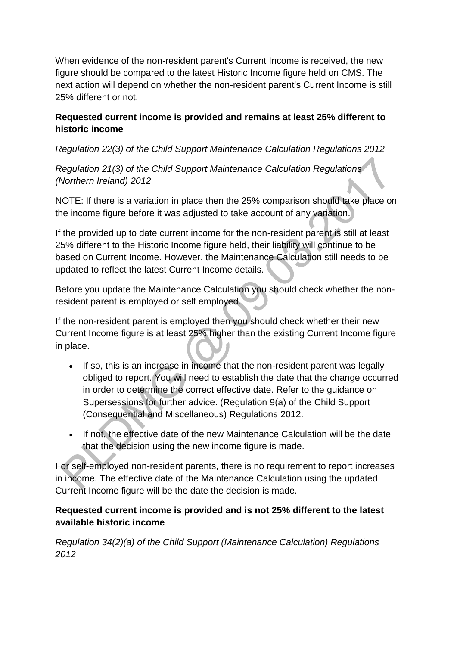When evidence of the non-resident parent's Current Income is received, the new figure should be compared to the latest Historic Income figure held on CMS. The next action will depend on whether the non-resident parent's Current Income is still 25% different or not.

## **Requested current income is provided and remains at least 25% different to historic income**

*Regulation 22(3) of the Child Support Maintenance Calculation Regulations 2012*

*Regulation 21(3) of the Child Support Maintenance Calculation Regulations (Northern Ireland) 2012*

NOTE: If there is a variation in place then the 25% comparison should take place on the income figure before it was adjusted to take account of any variation.

If the provided up to date current income for the non-resident parent is still at least 25% different to the Historic Income figure held, their liability will continue to be based on Current Income. However, the Maintenance Calculation still needs to be updated to reflect the latest Current Income details.

Before you update the Maintenance Calculation you should check whether the nonresident parent is employed or self employed.

If the non-resident parent is employed then you should check whether their new Current Income figure is at least 25% higher than the existing Current Income figure in place.

- If so, this is an increase in income that the non-resident parent was legally obliged to report. You will need to establish the date that the change occurred in order to determine the correct effective date. Refer to the guidance on Supersessions for further advice. (Regulation 9(a) of the Child Support (Consequential and Miscellaneous) Regulations 2012.
- If not, the effective date of the new Maintenance Calculation will be the date that the decision using the new income figure is made.

For self-employed non-resident parents, there is no requirement to report increases in income. The effective date of the Maintenance Calculation using the updated Current Income figure will be the date the decision is made.

## **Requested current income is provided and is not 25% different to the latest available historic income**

*Regulation 34(2)(a) of the Child Support (Maintenance Calculation) Regulations 2012*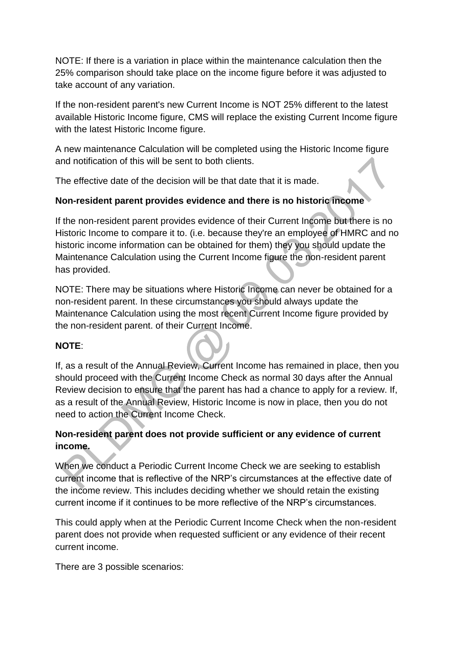NOTE: If there is a variation in place within the maintenance calculation then the 25% comparison should take place on the income figure before it was adjusted to take account of any variation.

If the non-resident parent's new Current Income is NOT 25% different to the latest available Historic Income figure, CMS will replace the existing Current Income figure with the latest Historic Income figure.

A new maintenance Calculation will be completed using the Historic Income figure and notification of this will be sent to both clients.

The effective date of the decision will be that date that it is made.

## **Non-resident parent provides evidence and there is no historic income**

If the non-resident parent provides evidence of their Current Income but there is no Historic Income to compare it to. (i.e. because they're an employee of HMRC and no historic income information can be obtained for them) they you should update the Maintenance Calculation using the Current Income figure the non-resident parent has provided.

NOTE: There may be situations where Historic Income can never be obtained for a non-resident parent. In these circumstances you should always update the Maintenance Calculation using the most recent Current Income figure provided by the non-resident parent. of their Current Income.

### **NOTE**:

If, as a result of the Annual Review, Current Income has remained in place, then you should proceed with the Current Income Check as normal 30 days after the Annual Review decision to ensure that the parent has had a chance to apply for a review. If, as a result of the Annual Review, Historic Income is now in place, then you do not need to action the Current Income Check.

## **Non-resident parent does not provide sufficient or any evidence of current income.**

When we conduct a Periodic Current Income Check we are seeking to establish current income that is reflective of the NRP's circumstances at the effective date of the income review. This includes deciding whether we should retain the existing current income if it continues to be more reflective of the NRP's circumstances.

This could apply when at the Periodic Current Income Check when the non-resident parent does not provide when requested sufficient or any evidence of their recent current income.

There are 3 possible scenarios: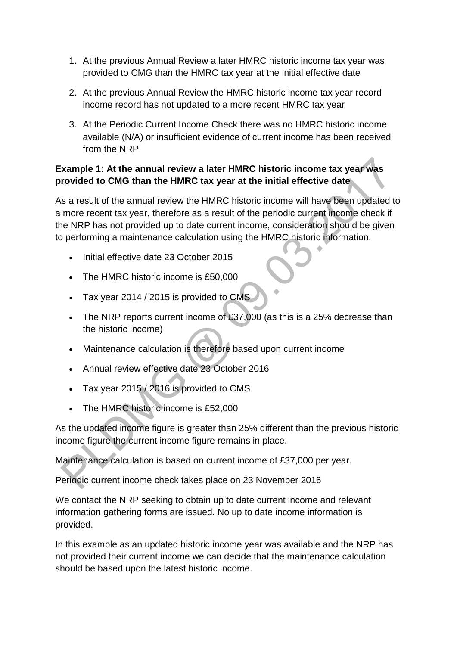- 1. At the previous Annual Review a later HMRC historic income tax year was provided to CMG than the HMRC tax year at the initial effective date
- 2. At the previous Annual Review the HMRC historic income tax year record income record has not updated to a more recent HMRC tax year
- 3. At the Periodic Current Income Check there was no HMRC historic income available (N/A) or insufficient evidence of current income has been received from the NRP

# **Example 1: At the annual review a later HMRC historic income tax year was provided to CMG than the HMRC tax year at the initial effective date**

As a result of the annual review the HMRC historic income will have been updated to a more recent tax year, therefore as a result of the periodic current income check if the NRP has not provided up to date current income, consideration should be given to performing a maintenance calculation using the HMRC historic information.

- Initial effective date 23 October 2015
- The HMRC historic income is £50,000
- Tax year 2014 / 2015 is provided to CMS
- The NRP reports current income of £37,000 (as this is a 25% decrease than the historic income)
- Maintenance calculation is therefore based upon current income
- Annual review effective date 23 October 2016
- Tax year 2015 / 2016 is provided to CMS
- The HMRC historic income is £52,000

As the updated income figure is greater than 25% different than the previous historic income figure the current income figure remains in place.

Maintenance calculation is based on current income of £37,000 per year.

Periodic current income check takes place on 23 November 2016

We contact the NRP seeking to obtain up to date current income and relevant information gathering forms are issued. No up to date income information is provided.

In this example as an updated historic income year was available and the NRP has not provided their current income we can decide that the maintenance calculation should be based upon the latest historic income.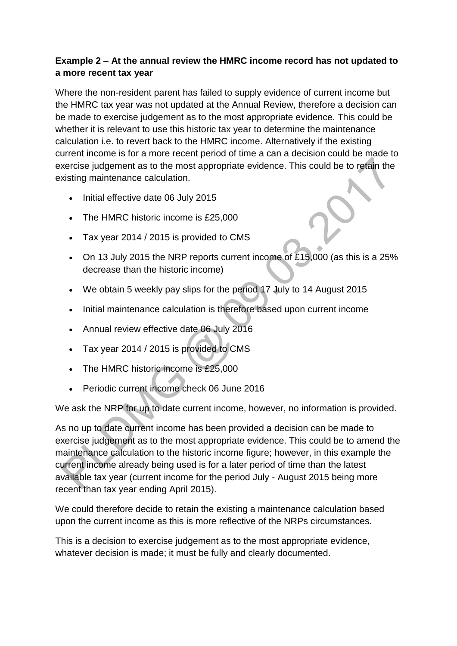## **Example 2 – At the annual review the HMRC income record has not updated to a more recent tax year**

Where the non-resident parent has failed to supply evidence of current income but the HMRC tax year was not updated at the Annual Review, therefore a decision can be made to exercise judgement as to the most appropriate evidence. This could be whether it is relevant to use this historic tax year to determine the maintenance calculation i.e. to revert back to the HMRC income. Alternatively if the existing current income is for a more recent period of time a can a decision could be made to exercise judgement as to the most appropriate evidence. This could be to retain the existing maintenance calculation.

- $\bullet$  Initial effective date 06 July 2015
- The HMRC historic income is £25,000
- Tax year 2014 / 2015 is provided to CMS
- On 13 July 2015 the NRP reports current income of £15,000 (as this is a 25% decrease than the historic income)
- We obtain 5 weekly pay slips for the period 17 July to 14 August 2015
- Initial maintenance calculation is therefore based upon current income
- Annual review effective date 06 July 2016
- Tax year 2014 / 2015 is provided to CMS
- The HMRC historic income is £25,000
- Periodic current income check 06 June 2016

We ask the NRP for up to date current income, however, no information is provided.

As no up to date current income has been provided a decision can be made to exercise judgement as to the most appropriate evidence. This could be to amend the maintenance calculation to the historic income figure; however, in this example the current income already being used is for a later period of time than the latest available tax year (current income for the period July - August 2015 being more recent than tax year ending April 2015).

We could therefore decide to retain the existing a maintenance calculation based upon the current income as this is more reflective of the NRPs circumstances.

This is a decision to exercise judgement as to the most appropriate evidence, whatever decision is made; it must be fully and clearly documented.